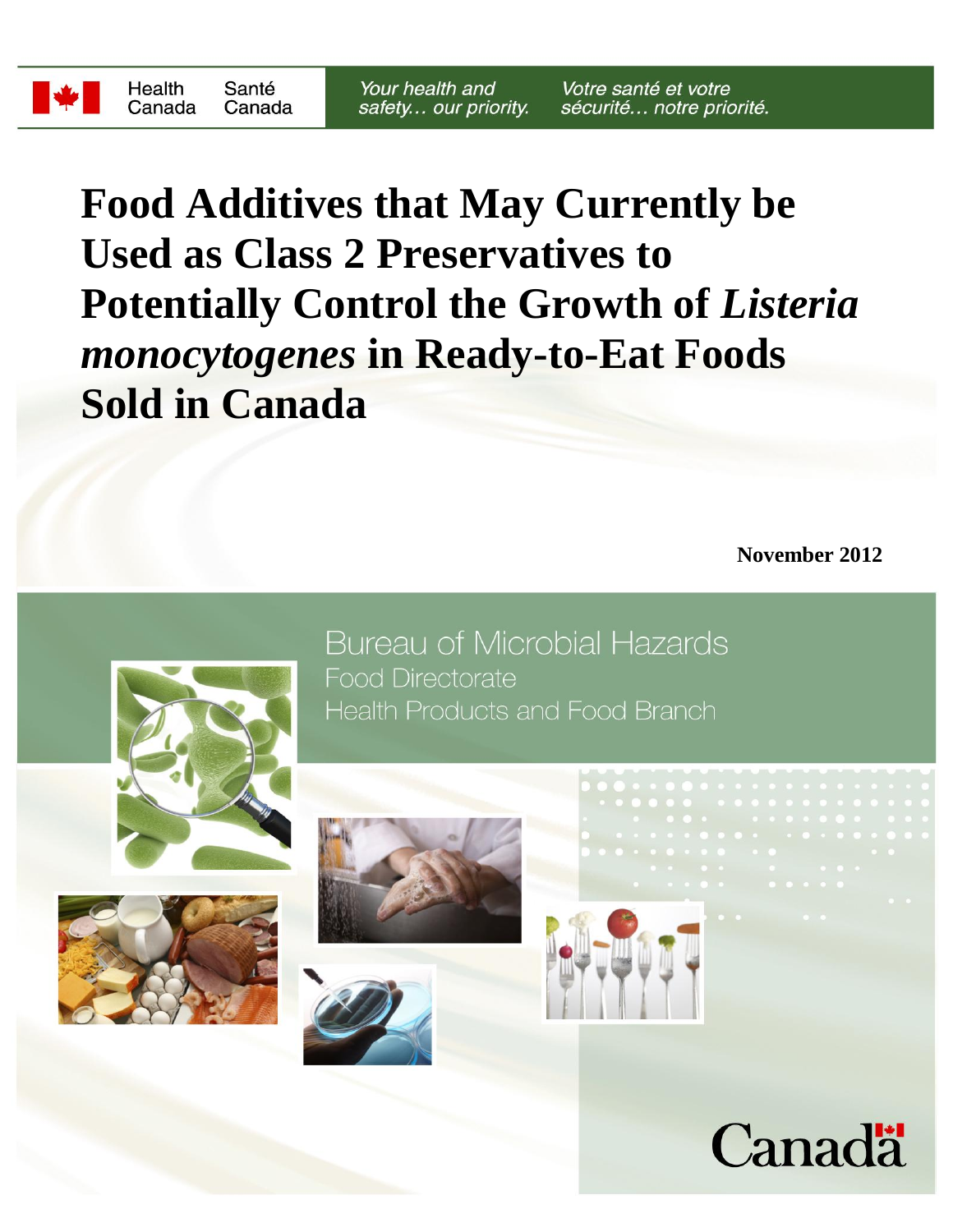**Food Additives that May Currently be Used as Class 2 Preservatives to Potentially Control the Growth of Listeria** *monocytogenes* **in Ready-to-Eat Foods Sold in Canada**

**November 2012**



**Bureau of Microbial Hazards Food Directorate Health Products and Food Branch** 









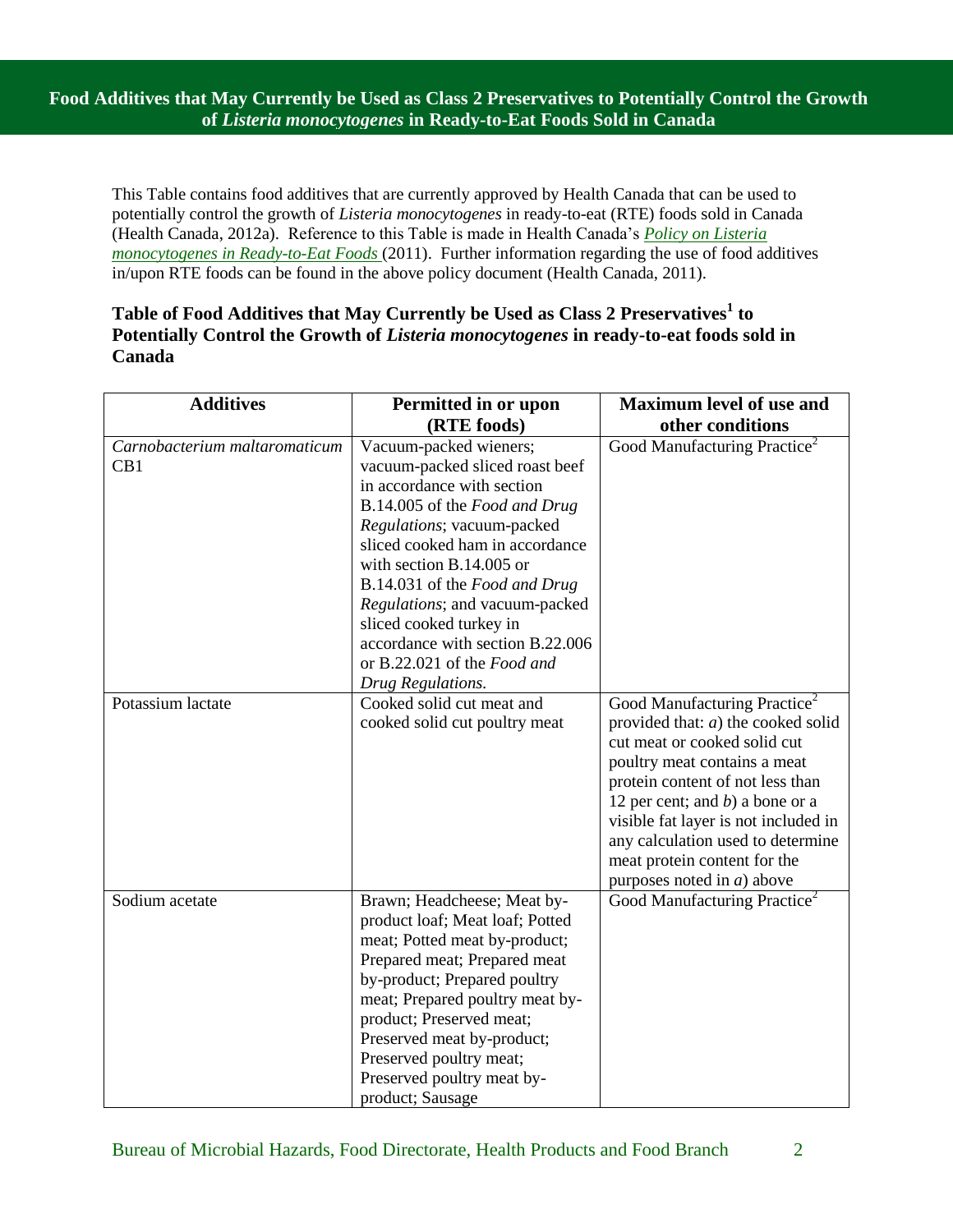**Food Additives that May Currently be Used as Class 2 Preservatives to Potentially Control the Growth of** *Listeria monocytogenes* **in Ready-to-Eat Foods Sold in Canada**

This Table contains food additives that are currently approved by Health Canada that can be used to potentially control the growth of *Listeria monocytogenes* in ready-to-eat (RTE) foods sold in Canada (Health Canada, 2012a). Reference to this Table is made in Health Canada's *[Policy on](http://www.hc-sc.gc.ca/fn-an/legislation/pol/policy_listeria_monocytogenes_2011-eng.php) Listeria monocytogenes [in Ready-to-Eat Foods](http://www.hc-sc.gc.ca/fn-an/legislation/pol/policy_listeria_monocytogenes_2011-eng.php)* (2011). Further information regarding the use of food additives in/upon RTE foods can be found in the above policy document (Health Canada, 2011).

## **Table of Food Additives that May Currently be Used as Class 2 Preservatives<sup>1</sup> to Potentially Control the Growth of** *Listeria monocytogenes* **in ready-to-eat foods sold in Canada**

| <b>Additives</b>                     | Permitted in or upon                                                                                                                                                                                                                                                                                                                                                                                        | <b>Maximum level of use and</b>                                                                                                                                                                                                                                                                                                                                           |
|--------------------------------------|-------------------------------------------------------------------------------------------------------------------------------------------------------------------------------------------------------------------------------------------------------------------------------------------------------------------------------------------------------------------------------------------------------------|---------------------------------------------------------------------------------------------------------------------------------------------------------------------------------------------------------------------------------------------------------------------------------------------------------------------------------------------------------------------------|
|                                      | (RTE foods)                                                                                                                                                                                                                                                                                                                                                                                                 | other conditions                                                                                                                                                                                                                                                                                                                                                          |
| Carnobacterium maltaromaticum<br>CB1 | Vacuum-packed wieners;<br>vacuum-packed sliced roast beef<br>in accordance with section<br>B.14.005 of the Food and Drug<br>Regulations; vacuum-packed<br>sliced cooked ham in accordance<br>with section B.14.005 or<br>B.14.031 of the Food and Drug<br>Regulations; and vacuum-packed<br>sliced cooked turkey in<br>accordance with section B.22.006<br>or B.22.021 of the Food and<br>Drug Regulations. | Good Manufacturing Practice <sup>2</sup>                                                                                                                                                                                                                                                                                                                                  |
| Potassium lactate                    | Cooked solid cut meat and<br>cooked solid cut poultry meat                                                                                                                                                                                                                                                                                                                                                  | Good Manufacturing Practice <sup>2</sup><br>provided that: $a$ ) the cooked solid<br>cut meat or cooked solid cut<br>poultry meat contains a meat<br>protein content of not less than<br>12 per cent; and $b$ ) a bone or a<br>visible fat layer is not included in<br>any calculation used to determine<br>meat protein content for the<br>purposes noted in $a$ ) above |
| Sodium acetate                       | Brawn; Headcheese; Meat by-<br>product loaf; Meat loaf; Potted<br>meat; Potted meat by-product;<br>Prepared meat; Prepared meat<br>by-product; Prepared poultry<br>meat; Prepared poultry meat by-<br>product; Preserved meat;<br>Preserved meat by-product;<br>Preserved poultry meat;<br>Preserved poultry meat by-<br>product; Sausage                                                                   | Good Manufacturing Practice <sup>2</sup>                                                                                                                                                                                                                                                                                                                                  |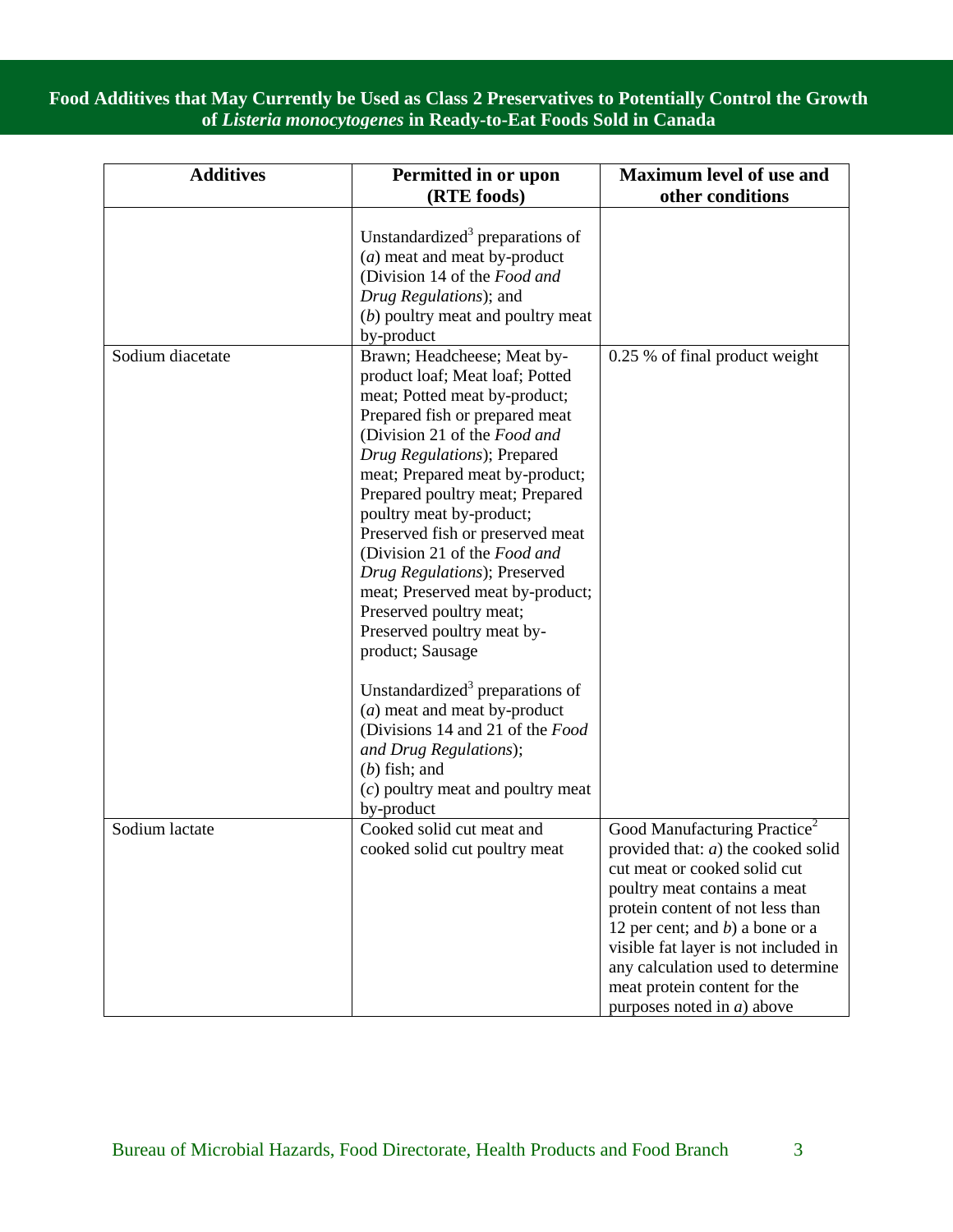**Food Additives that May Currently be Used as Class 2 Preservatives to Potentially Control the Growth of** *Listeria monocytogenes* **in Ready-to-Eat Foods Sold in Canada**

| <b>Additives</b> | Permitted in or upon<br>(RTE foods)                                                                                                                                                                                                                                                                                                                                                                                                                                                                                                                                                                                                                                                                                                          | <b>Maximum level of use and</b><br>other conditions                                                                                                                                                                                                                                                                                                                       |
|------------------|----------------------------------------------------------------------------------------------------------------------------------------------------------------------------------------------------------------------------------------------------------------------------------------------------------------------------------------------------------------------------------------------------------------------------------------------------------------------------------------------------------------------------------------------------------------------------------------------------------------------------------------------------------------------------------------------------------------------------------------------|---------------------------------------------------------------------------------------------------------------------------------------------------------------------------------------------------------------------------------------------------------------------------------------------------------------------------------------------------------------------------|
|                  | Unstandardized <sup>3</sup> preparations of<br>$(a)$ meat and meat by-product<br>(Division 14 of the Food and<br>Drug Regulations); and<br>(b) poultry meat and poultry meat<br>by-product                                                                                                                                                                                                                                                                                                                                                                                                                                                                                                                                                   |                                                                                                                                                                                                                                                                                                                                                                           |
| Sodium diacetate | Brawn; Headcheese; Meat by-<br>product loaf; Meat loaf; Potted<br>meat; Potted meat by-product;<br>Prepared fish or prepared meat<br>(Division 21 of the Food and<br>Drug Regulations); Prepared<br>meat; Prepared meat by-product;<br>Prepared poultry meat; Prepared<br>poultry meat by-product;<br>Preserved fish or preserved meat<br>(Division 21 of the Food and<br>Drug Regulations); Preserved<br>meat; Preserved meat by-product;<br>Preserved poultry meat;<br>Preserved poultry meat by-<br>product; Sausage<br>Unstandardized <sup>3</sup> preparations of<br>(a) meat and meat by-product<br>(Divisions 14 and 21 of the Food<br>and Drug Regulations);<br>$(b)$ fish; and<br>$(c)$ poultry meat and poultry meat<br>by-product | 0.25 % of final product weight                                                                                                                                                                                                                                                                                                                                            |
| Sodium lactate   | Cooked solid cut meat and<br>cooked solid cut poultry meat                                                                                                                                                                                                                                                                                                                                                                                                                                                                                                                                                                                                                                                                                   | Good Manufacturing Practice <sup>2</sup><br>provided that: $a$ ) the cooked solid<br>cut meat or cooked solid cut<br>poultry meat contains a meat<br>protein content of not less than<br>12 per cent; and $b$ ) a bone or a<br>visible fat layer is not included in<br>any calculation used to determine<br>meat protein content for the<br>purposes noted in $a$ ) above |